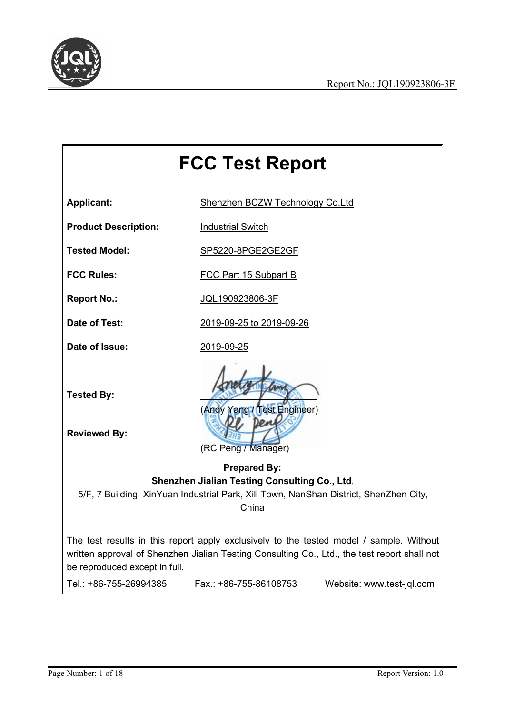

# **FCC Test Report Applicant:** Shenzhen BCZW Technology Co.Ltd **Product Description:** Industrial Switch **Tested Model:** SP5220-8PGE2GE2GF **FCC Rules:** FCC Part 15 Subpart B **Report No.:** JQL190923806-3F **Date of Test:** 2019-09-25 to 2019-09-26 **Date of Issue:** 2019-09-25 **Tested By:** (Andy Yang / Test Engineer) **Reviewed By:** (RC Peng / Manager) **Prepared By: Shenzhen Jialian Testing Consulting Co., Ltd**. 5/F, 7 Building, XinYuan Industrial Park, Xili Town, NanShan District, ShenZhen City, China The test results in this report apply exclusively to the tested model/ sample. Without written approval of Shenzhen Jialian Testing Consulting Co., Ltd., the test report shall not be reproduced except in full. Tel.: +86-755-26994385 Fax.: +86-755-86108753 Website: www.test-jql.com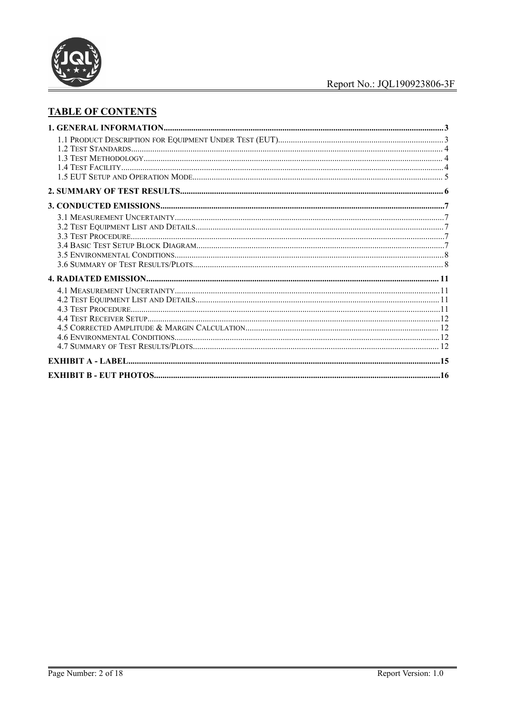

# **TABLE OF CONTENTS**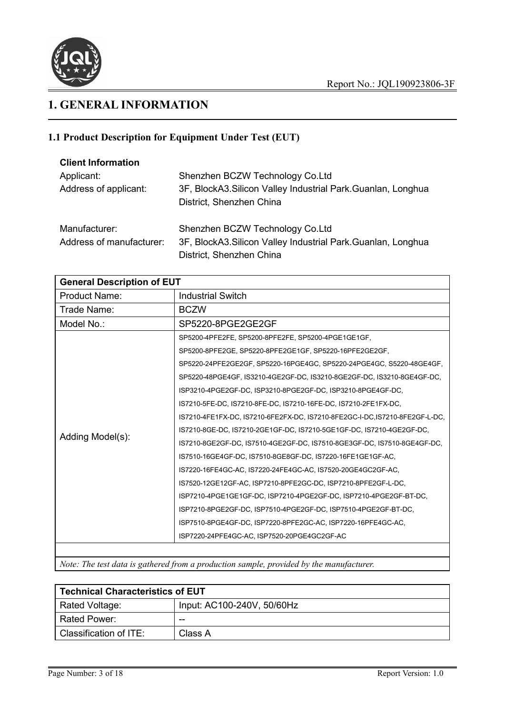

# **1. GENERAL INFORMATION**

# **1.1 Product Description for Equipment Under Test(EUT)**

| <b>Client Information</b> |                                                                                           |
|---------------------------|-------------------------------------------------------------------------------------------|
| Applicant:                | Shenzhen BCZW Technology Co.Ltd                                                           |
| Address of applicant:     | 3F, BlockA3. Silicon Valley Industrial Park. Guanlan, Longhua<br>District, Shenzhen China |
| Manufacturer:             | Shenzhen BCZW Technology Co.Ltd                                                           |
| Address of manufacturer:  | 3F, BlockA3. Silicon Valley Industrial Park. Guanlan, Longhua                             |
|                           | District, Shenzhen China                                                                  |

| <b>General Description of EUT</b> |                                                                             |  |  |  |  |
|-----------------------------------|-----------------------------------------------------------------------------|--|--|--|--|
| <b>Product Name:</b>              | <b>Industrial Switch</b>                                                    |  |  |  |  |
| Trade Name:                       | <b>BCZW</b>                                                                 |  |  |  |  |
| Model No.:                        | SP5220-8PGE2GE2GF                                                           |  |  |  |  |
|                                   | SP5200-4PFE2FE, SP5200-8PFE2FE, SP5200-4PGE1GE1GF,                          |  |  |  |  |
|                                   | SP5200-8PFE2GE, SP5220-8PFE2GE1GF, SP5220-16PFE2GE2GF,                      |  |  |  |  |
|                                   | SP5220-24PFE2GE2GF, SP5220-16PGE4GC, SP5220-24PGE4GC, S5220-48GE4GF,        |  |  |  |  |
|                                   | SP5220-48PGE4GF, IS3210-4GE2GF-DC, IS3210-8GE2GF-DC, IS3210-8GE4GF-DC,      |  |  |  |  |
|                                   | ISP3210-4PGE2GF-DC, ISP3210-8PGE2GF-DC, ISP3210-8PGE4GF-DC,                 |  |  |  |  |
|                                   | IS7210-5FE-DC, IS7210-8FE-DC, IS7210-16FE-DC, IS7210-2FE1FX-DC,             |  |  |  |  |
|                                   | IS7210-4FE1FX-DC, IS7210-6FE2FX-DC, IS7210-8FE2GC-I-DC, IS7210-8FE2GF-L-DC, |  |  |  |  |
|                                   | IS7210-8GE-DC, IS7210-2GE1GF-DC, IS7210-5GE1GF-DC, IS7210-4GE2GF-DC,        |  |  |  |  |
| Adding Model(s):                  | IS7210-8GE2GF-DC, IS7510-4GE2GF-DC, IS7510-8GE3GF-DC, IS7510-8GE4GF-DC,     |  |  |  |  |
|                                   | IS7510-16GE4GF-DC, IS7510-8GE8GF-DC, IS7220-16FE1GE1GF-AC,                  |  |  |  |  |
|                                   | IS7220-16FE4GC-AC, IS7220-24FE4GC-AC, IS7520-20GE4GC2GF-AC,                 |  |  |  |  |
|                                   | IS7520-12GE12GF-AC, ISP7210-8PFE2GC-DC, ISP7210-8PFE2GF-L-DC,               |  |  |  |  |
|                                   | ISP7210-4PGE1GE1GF-DC, ISP7210-4PGE2GF-DC, ISP7210-4PGE2GF-BT-DC,           |  |  |  |  |
|                                   | ISP7210-8PGE2GF-DC, ISP7510-4PGE2GF-DC, ISP7510-4PGE2GF-BT-DC,              |  |  |  |  |
|                                   | ISP7510-8PGE4GF-DC, ISP7220-8PFE2GC-AC, ISP7220-16PFE4GC-AC,                |  |  |  |  |
|                                   | ISP7220-24PFE4GC-AC, ISP7520-20PGE4GC2GF-AC                                 |  |  |  |  |

*Note: The test data is gathered from a production sample, provided by the manufacturer.*

| <b>Technical Characteristics of EUT</b> |                            |  |  |
|-----------------------------------------|----------------------------|--|--|
| Rated Voltage:                          | Input: AC100-240V, 50/60Hz |  |  |
| Rated Power:                            | $- -$                      |  |  |
| Classification of ITE:                  | Class A                    |  |  |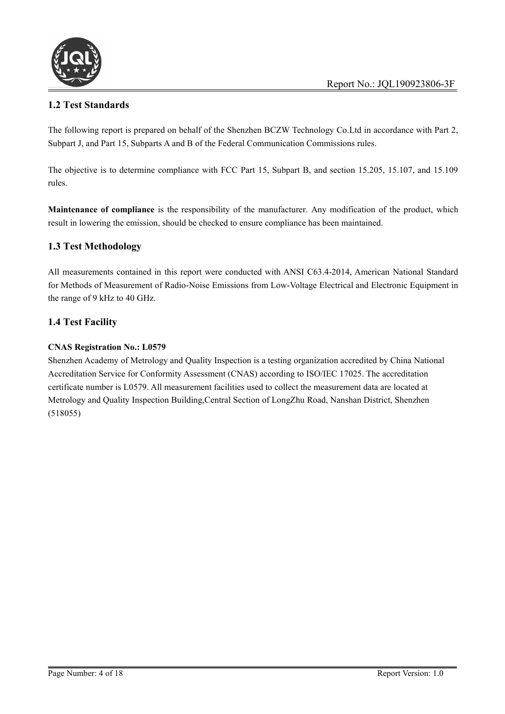

# **1.2 Test Standards**

The following report is prepared on behalf of the Shenzhen BCZW Technology Co.Ltd in accordance with Part 2, Subpart J, and Part 15, Subparts A and B of the Federal Communication Commissions rules.

The objective is to determine compliance with FCC Part 15, Subpart B, and section 15.205, 15.107, and 15.109 rules.

**Maintenance of compliance** is the responsibility of the manufacturer. Any modification of the product, which result in lowering the emission, should be checked to ensure compliance has been maintained.

# **1.3 Test Methodology**

All measurements contained in this report were conducted with ANSI C63.4-2014, American National Standard for Methods of Measurement of Radio-Noise Emissions from Low-Voltage Electrical and Electronic Equipment in the range of 9 kHz to 40 GHz.

#### **1.4 Test Facility**

#### **CNAS Registration No.: L0579**

Shenzhen Academy of Metrology and Quality Inspection is a testing organization accredited by China National Accreditation Service for Conformity Assessment (CNAS) according to ISO/IEC 17025. The accreditation certificate number is L0579. All measurement facilities used to collect the measurement data are located at Metrology and Quality Inspection Building,Central Section of LongZhu Road, Nanshan District, Shenzhen (518055)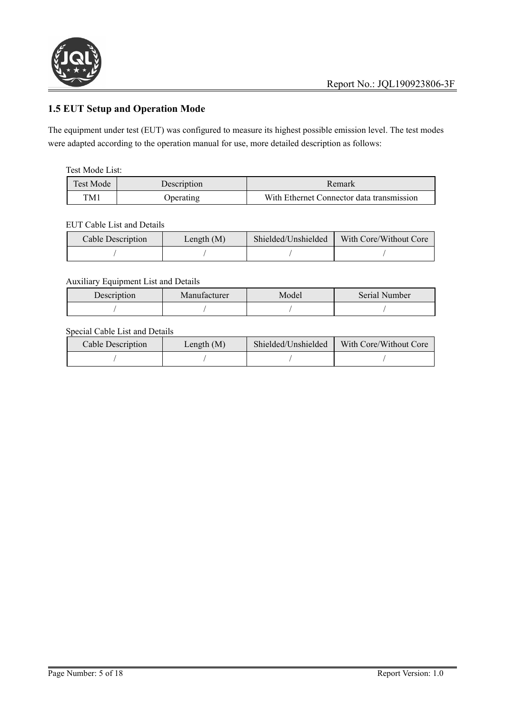

# **1.5 EUT Setup and Operation Mode**

The equipment under test (EUT) was configured to measure its highest possible emission level. The test modes were adapted according to the operation manual for use, more detailed description as follows:

#### Test Mode List:

| Test Mode | Description | Kemark                                    |
|-----------|-------------|-------------------------------------------|
| TM1       | )perating   | With Ethernet Connector data transmission |

#### EUT Cable List and Details

| Cable Description | Length $(M)$ | Shielded/Unshielded | With Core/Without Core |
|-------------------|--------------|---------------------|------------------------|
|                   |              |                     |                        |

#### Auxiliary Equipment List and Details

| Description | Manufacturer | Model | Serial Number |
|-------------|--------------|-------|---------------|
|             |              |       |               |

# Special Cable List and Details

| <b>Cable Description</b> | Length $(M)$ | Shielded/Unshielded | With Core/Without Core |
|--------------------------|--------------|---------------------|------------------------|
|                          |              |                     |                        |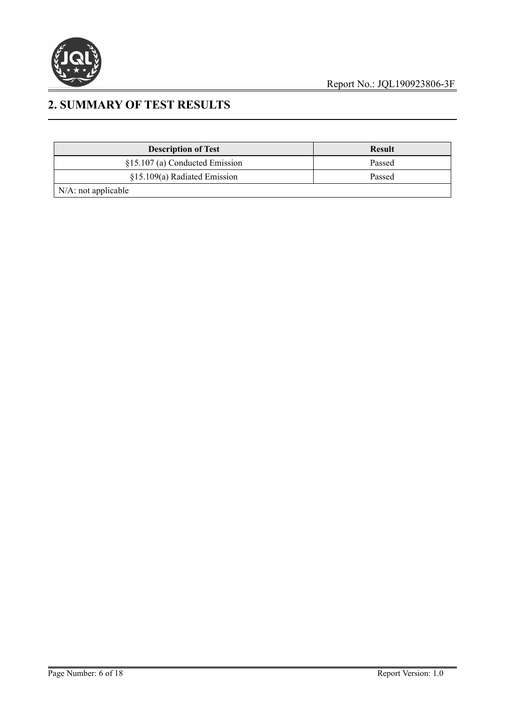

# **2. SUMMARY OF TEST RESULTS**

| <b>Description of Test</b>     | <b>Result</b> |
|--------------------------------|---------------|
| §15.107 (a) Conducted Emission | Passed        |
| $§15.109(a)$ Radiated Emission | Passed        |
| $N/A$ : not applicable         |               |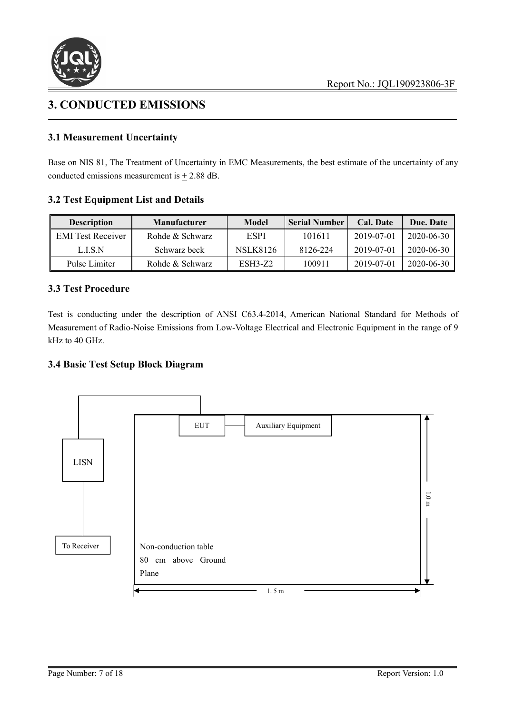

# **3. CONDUCTED EMISSIONS**

# **3.1 Measurement Uncertainty**

Base on NIS 81, The Treatment of Uncertainty in EMC Measurements, the best estimate of the uncertainty of any conducted emissions measurement is  $\pm$  2.88 dB.

#### **3.2 Test Equipment List and Details**

| <b>Description</b>       | <b>Manufacturer</b> | Model           | <b>Serial Number</b> | Cal. Date  | Due. Date  |
|--------------------------|---------------------|-----------------|----------------------|------------|------------|
| <b>EMI</b> Test Receiver | Rohde & Schwarz     | ESPI            | 101611               | 2019-07-01 | 2020-06-30 |
| LISN                     | Schwarz beck        | <b>NSLK8126</b> | 8126-224             | 2019-07-01 | 2020-06-30 |
| Pulse Limiter            | Rohde & Schwarz     | <b>ESH3-Z2</b>  | 100911               | 2019-07-01 | 2020-06-30 |

#### **3.3 Test Procedure**

Test is conducting under the description of ANSI C63.4-2014, American National Standard for Methods of Measurement of Radio-Noise Emissions from Low-Voltage Electrical and Electronic Equipment in the range of 9 kHz to 40 GHz.

#### **3.4 Basic TestSetup Block Diagram**

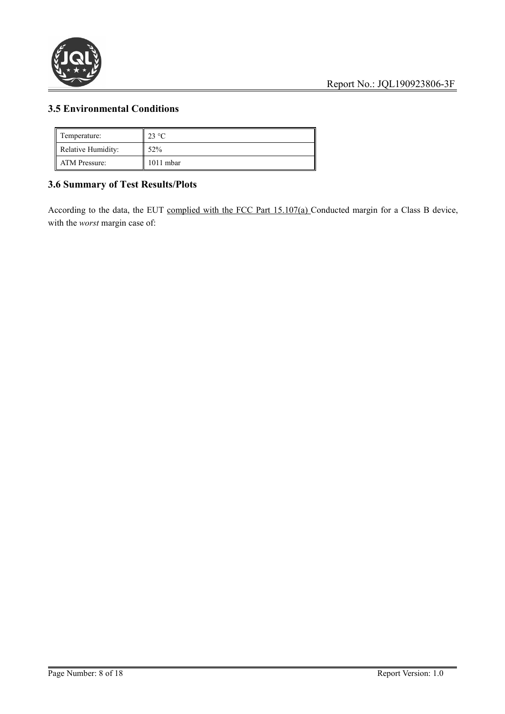

# **3.5 Environmental Conditions**

| Temperature:       | $23 \text{ °C}$ |
|--------------------|-----------------|
| Relative Humidity: | 52%             |
| ATM Pressure:      | 1011 mbar       |

# **3.6 Summary of TestResults/Plots**

According to the data, the EUT complied with the FCC Part 15.107(a) Conducted margin for a Class B device, with the *worst* margin case of: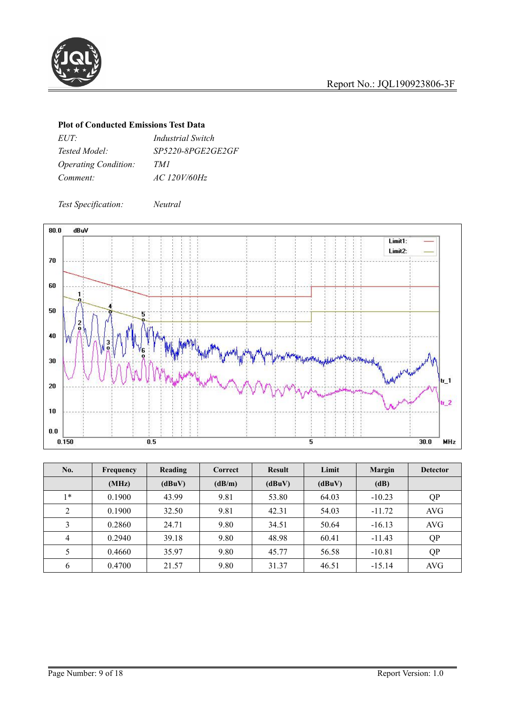

#### **Plot of Conducted Emissions Test Data**

| $EUT^{\perp}$                      | <i>Industrial Switch</i> |
|------------------------------------|--------------------------|
| <i>Tested Model:</i>               | <i>SP5220-8PGE2GE2GF</i> |
| <i><b>Operating Condition:</b></i> | TMI                      |
| Comment:                           | AC 120V/60Hz             |

*Test Specification: Neutral*



| No.            | Frequency | Reading | Correct | <b>Result</b> | Limit  | <b>Margin</b> | <b>Detector</b> |
|----------------|-----------|---------|---------|---------------|--------|---------------|-----------------|
|                | (MHz)     | (dBuV)  | (dB/m)  | (dBuV)        | (dBuV) | (dB)          |                 |
| $1*$           | 0.1900    | 43.99   | 9.81    | 53.80         | 64.03  | $-10.23$      | QP              |
| $\mathcal{D}$  | 0.1900    | 32.50   | 9.81    | 42.31         | 54.03  | $-11.72$      | AVG             |
| 3              | 0.2860    | 24.71   | 9.80    | 34.51         | 50.64  | $-16.13$      | <b>AVG</b>      |
| $\overline{4}$ | 0.2940    | 39.18   | 9.80    | 48.98         | 60.41  | $-11.43$      | QP              |
|                | 0.4660    | 35.97   | 9.80    | 45.77         | 56.58  | $-10.81$      | QP              |
| 6              | 0.4700    | 21.57   | 9.80    | 31.37         | 46.51  | $-15.14$      | AVG             |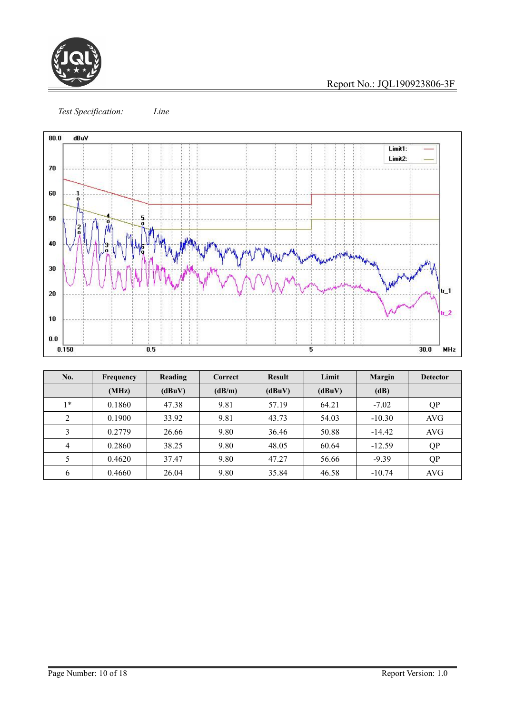

Report No.: JQL190923806-3F

*Test Specification: Line*



| No.      | Frequency | Reading | Correct | <b>Result</b> | Limit  | Margin   | <b>Detector</b> |
|----------|-----------|---------|---------|---------------|--------|----------|-----------------|
|          | (MHz)     | (dBuV)  | (dB/m)  | (dBuV)        | (dBuV) | (dB)     |                 |
| $1*$     | 0.1860    | 47.38   | 9.81    | 57.19         | 64.21  | $-7.02$  | QP              |
| $\gamma$ | 0.1900    | 33.92   | 9.81    | 43.73         | 54.03  | $-10.30$ | AVG             |
| $\sim$   | 0.2779    | 26.66   | 9.80    | 36.46         | 50.88  | $-14.42$ | <b>AVG</b>      |
| 4        | 0.2860    | 38.25   | 9.80    | 48.05         | 60.64  | $-12.59$ | QP              |
|          | 0.4620    | 37.47   | 9.80    | 47.27         | 56.66  | $-9.39$  | QP              |
| 6        | 0.4660    | 26.04   | 9.80    | 35.84         | 46.58  | $-10.74$ | AVG             |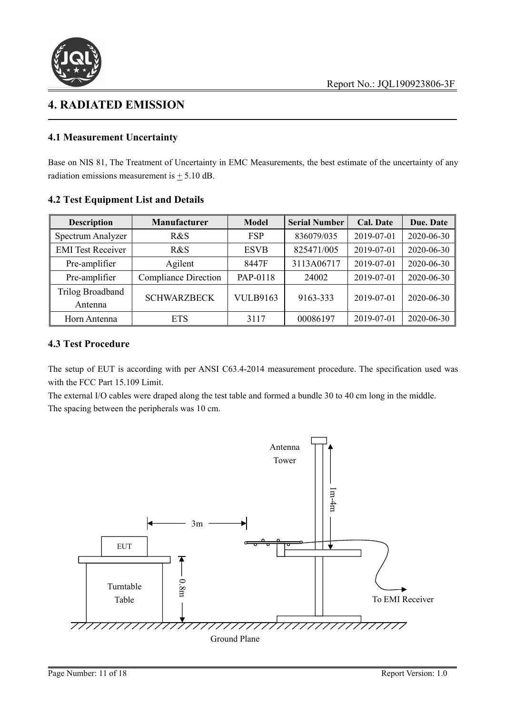

# **4. RADIATED EMISSION**

### **4.1 Measurement Uncertainty**

Base on NIS 81, The Treatment of Uncertainty in EMC Measurements, the best estimate of the uncertainty of any radiation emissions measurement is  $\pm$  5.10 dB.

| <b>Description</b>       | <b>Manufacturer</b>         | <b>Model</b>    | <b>Serial Number</b> | <b>Cal. Date</b> | Due. Date  |  |
|--------------------------|-----------------------------|-----------------|----------------------|------------------|------------|--|
| Spectrum Analyzer        | R&S                         | <b>FSP</b>      | 836079/035           | 2019-07-01       | 2020-06-30 |  |
| <b>EMI</b> Test Receiver | R&S                         | <b>ESVB</b>     | 825471/005           | 2019-07-01       | 2020-06-30 |  |
| Pre-amplifier            | Agilent                     | 8447F           | 3113A06717           | 2019-07-01       | 2020-06-30 |  |
| Pre-amplifier            | <b>Compliance Direction</b> | PAP-0118        | 24002                | 2019-07-01       | 2020-06-30 |  |
| Trilog Broadband         | <b>SCHWARZBECK</b>          | <b>VULB9163</b> | 9163-333             | 2019-07-01       | 2020-06-30 |  |
| Antenna                  |                             |                 |                      |                  |            |  |
| Horn Antenna             | <b>ETS</b>                  | 3117            | 00086197             | 2019-07-01       | 2020-06-30 |  |

# **4.2 Test Equipment List and Details**

### **4.3 Test Procedure**

The setup of EUT is according with per ANSI C63.4-2014 measurement procedure. The specification used was with the FCC Part 15.109 Limit.

The external I/O cables were draped along the test table and formed <sup>a</sup> bundle <sup>30</sup> to <sup>40</sup> cm long in the middle.The spacing between the peripherals was <sup>10</sup> cm.

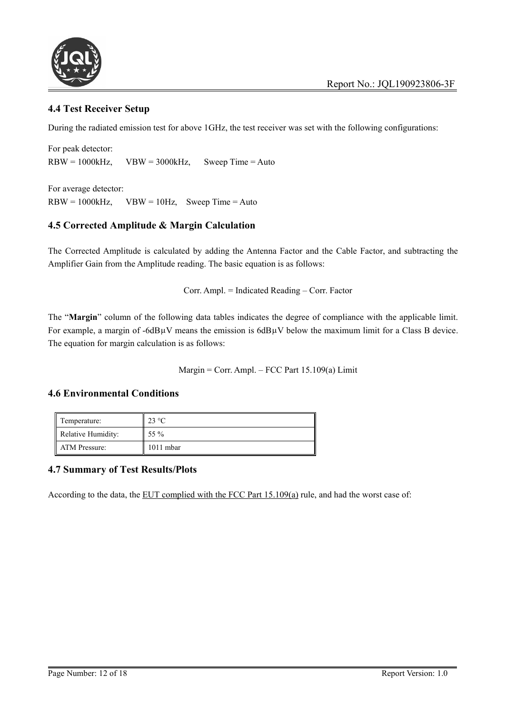

#### **4.4 Test Receiver Setup**

During the radiated emission test for above 1GHz, the test receiver was set with the following configurations:

For peak detector:  $RBW = 1000kHz$ ,  $VBW = 3000kHz$ , Sweep Time = Auto

For average detector:  $RBW = 1000kHz$ ,  $VBW = 10Hz$ , Sweep Time = Auto

# **4.5 Corrected Amplitude & Margin Calculation**

The Corrected Amplitude is calculated by adding the Antenna Factor and the Cable Factor, and subtracting the Amplifier Gain from the Amplitude reading. The basic equation is as follows:

Corr. Ampl. = Indicated Reading – Corr. Factor

The "**Margin**" column of the following data tables indicates the degree of compliance with the applicable limit. For example, a margin of  $-6dB\mu V$  means the emission is  $6dB\mu V$  below the maximum limit for a Class B device. The equation for margin calculation is as follows:

Margin = Corr. Ampl. – FCC Part  $15.109(a)$  Limit

#### **4.6 Environmental Conditions**

| Temperature:       | $23 \text{ °C}$ |
|--------------------|-----------------|
| Relative Humidity: | 55 %            |
| ATM Pressure:      | 1011 mbar       |

#### **4.7 Summary of Test Results/Plots**

According to the data, the EUT complied with the FCC Part  $15.109(a)$  rule, and had the worst case of: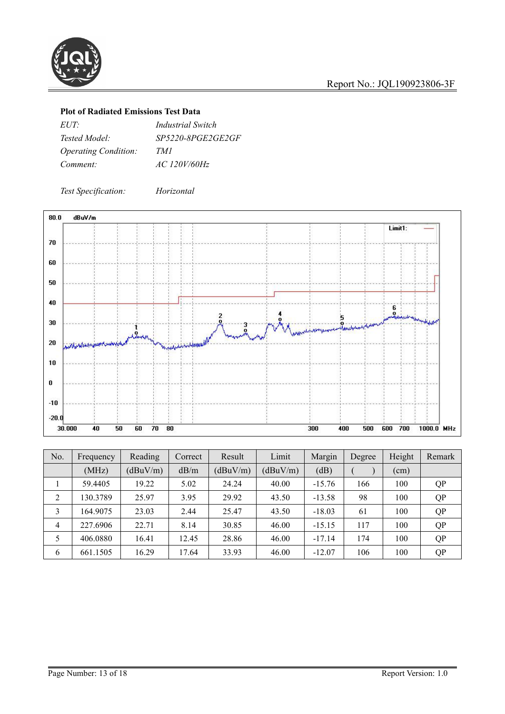

### **Plot of Radiated Emissions Test Data**

| $EUT^{\perp}$                      | <i>Industrial Switch</i> |
|------------------------------------|--------------------------|
| Tested Model:                      | <i>SP5220-8PGE2GE2GF</i> |
| <i><b>Operating Condition:</b></i> | TMI                      |
| Comment:                           | AC 120V/60Hz             |

*Test Specification: Horizontal*



| No. | Frequency | Reading  | Correct | Result   | Limit    | Margin   | Degree | Height | Remark    |
|-----|-----------|----------|---------|----------|----------|----------|--------|--------|-----------|
|     | (MHz)     | (dBuV/m) | dB/m    | (dBuV/m) | (dBuV/m) | (dB)     |        | (cm)   |           |
|     | 59.4405   | 19.22    | 5.02    | 24.24    | 40.00    | $-15.76$ | 166    | 100    | <b>QP</b> |
| C.  | 130.3789  | 25.97    | 3.95    | 29.92    | 43.50    | $-13.58$ | 98     | 100    | QP        |
| 3   | 164.9075  | 23.03    | 2.44    | 25.47    | 43.50    | $-18.03$ | 61     | 100    | <b>QP</b> |
| 4   | 227.6906  | 22.71    | 8.14    | 30.85    | 46.00    | $-15.15$ | 117    | 100    | <b>QP</b> |
|     | 406.0880  | 16.41    | 12.45   | 28.86    | 46.00    | $-17.14$ | 174    | 100    | QP        |
| 6   | 661.1505  | 16.29    | 17.64   | 33.93    | 46.00    | $-12.07$ | 106    | 100    | <b>QP</b> |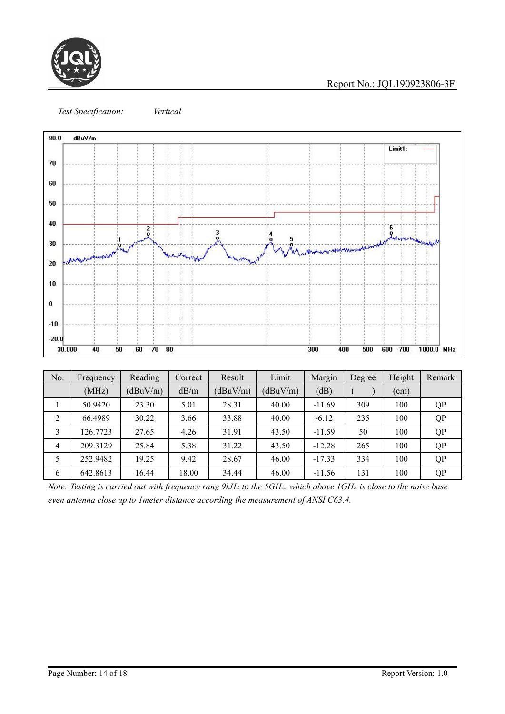

Report No.: JQL190923806-3F





| No.                            | Frequency | Reading  | Correct | Result   | Limit    | Margin   | Degree | Height | Remark    |
|--------------------------------|-----------|----------|---------|----------|----------|----------|--------|--------|-----------|
|                                | (MHz)     | (dBuV/m) | dB/m    | (dBuV/m) | (dBuV/m) | (dB)     |        | (cm)   |           |
|                                | 50.9420   | 23.30    | 5.01    | 28.31    | 40.00    | $-11.69$ | 309    | 100    | <b>QP</b> |
| <sup><math>\gamma</math></sup> | 66.4989   | 30.22    | 3.66    | 33.88    | 40.00    | $-6.12$  | 235    | 100    | <b>QP</b> |
| 3                              | 126.7723  | 27.65    | 4.26    | 31.91    | 43.50    | $-11.59$ | 50     | 100    | QP        |
| 4                              | 209.3129  | 25.84    | 5.38    | 31.22    | 43.50    | $-12.28$ | 265    | 100    | <b>QP</b> |
|                                | 252.9482  | 19.25    | 9.42    | 28.67    | 46.00    | $-17.33$ | 334    | 100    | QP        |
| 6                              | 642.8613  | 16.44    | 18.00   | 34.44    | 46.00    | $-11.56$ | 131    | 100    | <b>QP</b> |

Note: Testing is carried out with frequency rang 9kHz to the 5GHz, which above 1GHz is close to the noise base *even antenna close up to 1meter distance according the measurement of ANSI C63.4.*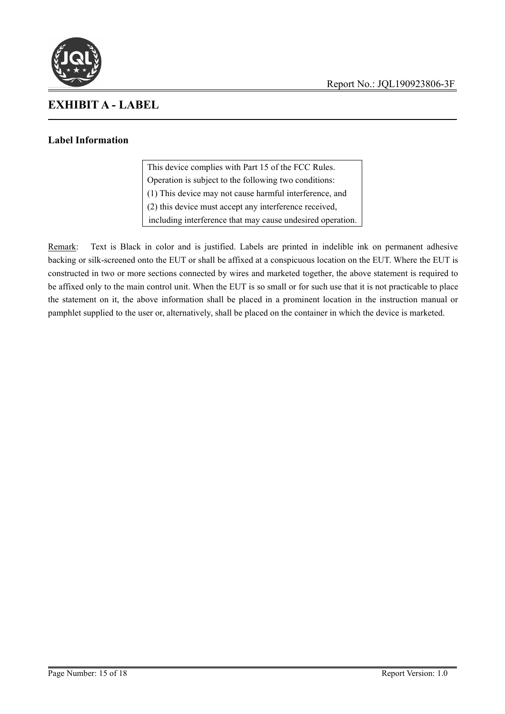![](_page_14_Picture_0.jpeg)

![](_page_14_Picture_1.jpeg)

# **EXHIBIT A - LABEL**

# **Label Information**

This device complies with Part 15 of the FCC Rules. Operation is subject to the following two conditions: (1) This device may not cause harmful interference, and (2) this device must accept any interference received, including interference that may cause undesired operation.

Remark: Text is Black in color and is justified. Labels are printed in indelible ink on permanent adhesive backing or silk-screened onto the EUT or shall be affixed at a conspicuous location on the EUT. Where the EUT is constructed in two or more sections connected by wires and marketed together, the above statement is required to be affixed only to the main control unit. When the EUT is sosmall or for such use that it is not practicable to place the statement on it, the above information shall be placed in a prominent location in the instruction manual or pamphlet supplied to the user or, alternatively, shall be placed on the container in which the device is marketed.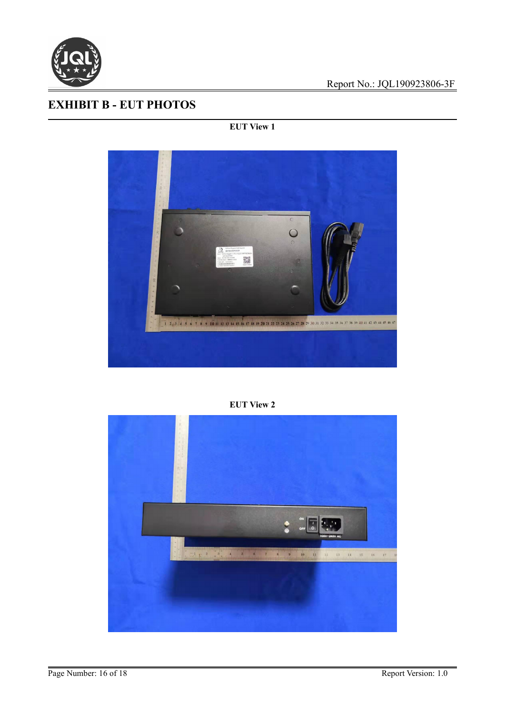![](_page_15_Picture_0.jpeg)

# **EXHIBIT B - EUT PHOTOS**

# **EUT View 1**

![](_page_15_Picture_4.jpeg)

#### **EUT View 2**

![](_page_15_Picture_6.jpeg)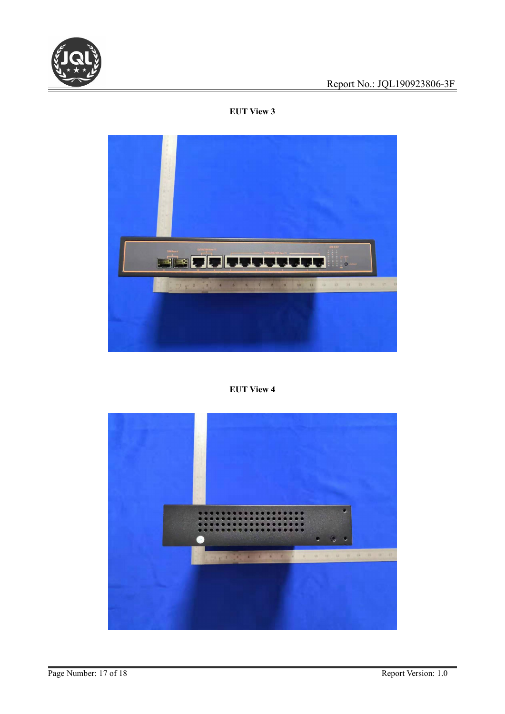![](_page_16_Picture_0.jpeg)

# **EUT View 3**

![](_page_16_Picture_3.jpeg)

# **EUT View 4**

![](_page_16_Picture_5.jpeg)